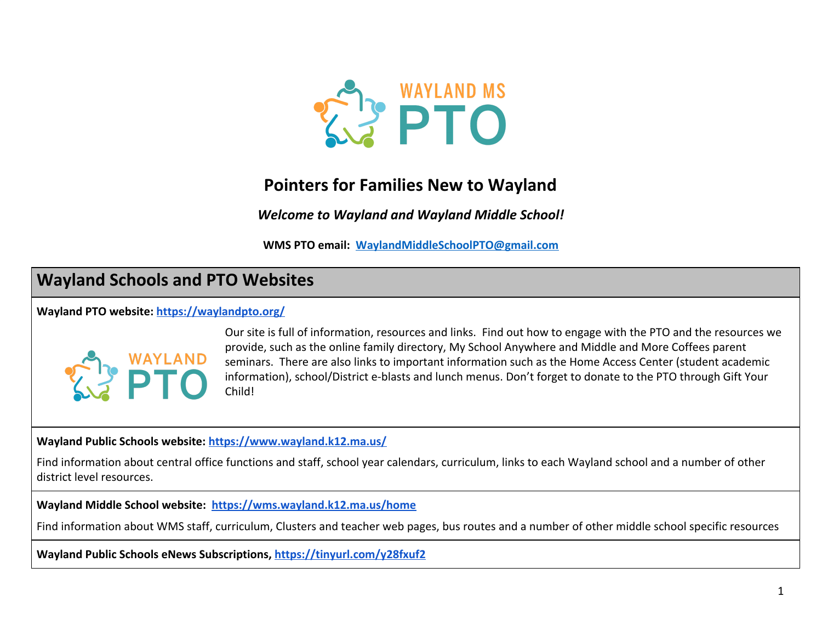

# **Pointers for Families New to Wayland**

*Welcome to Wayland and Wayland Middle School!*

**WMS PTO email: [WaylandMiddleSchoolPTO@gmail.com](mailto:WaylandMiddleSchoolPTO@gmail.com)**

# **Wayland Schools and PTO Websites**

**Wayland PTO website: <https://waylandpto.org/>**



Our site is full of information, resources and links. Find out how to engage with the PTO and the resources we provide, such as the online family directory, My School Anywhere and Middle and More Coffees parent seminars. There are also links to important information such as the Home Access Center (student academic information), school/District e-blasts and lunch menus. Don't forget to donate to the PTO through Gift Your Child!

**Wayland Public Schools website: <https://www.wayland.k12.ma.us/>**

Find information about central office functions and staff, school year calendars, curriculum, links to each Wayland school and a number of other district level resources.

**Wayland Middle School website: <https://wms.wayland.k12.ma.us/home>**

Find information about WMS staff, curriculum, Clusters and teacher web pages, bus routes and a number of other middle school specific resources

**Wayland Public Schools eNews Subscriptions, <https://tinyurl.com/y28fxuf2>**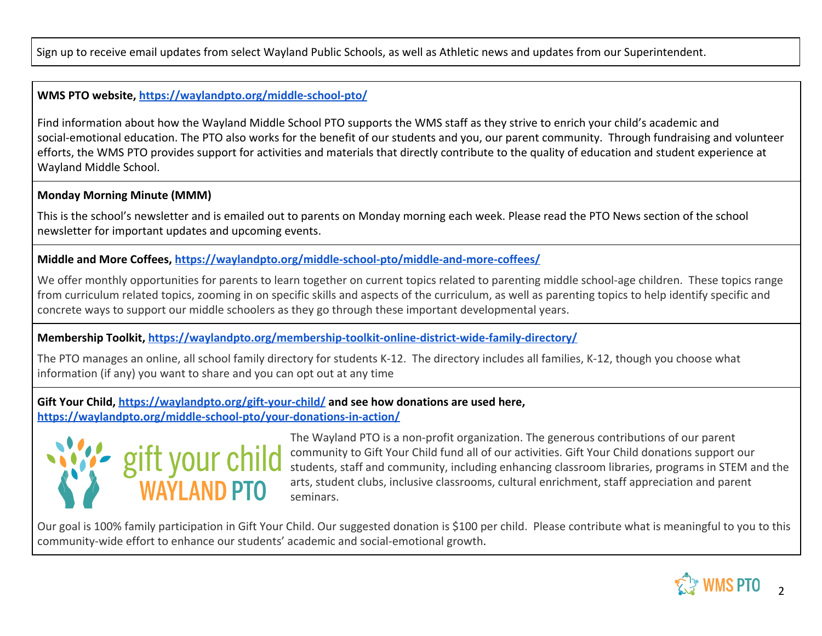Sign up to receive email updates from select Wayland Public Schools, as well as Athletic news and updates from our Superintendent.

## **WMS PTO website, <https://waylandpto.org/middle-school-pto/>**

Find information about how the Wayland Middle School PTO supports the WMS staff as they strive to enrich your child's academic and social-emotional education. The PTO also works for the benefit of our students and you, our parent community. Through fundraising and volunteer efforts, the WMS PTO provides support for activities and materials that directly contribute to the quality of education and student experience at Wayland Middle School.

## **Monday Morning Minute (MMM)**

This is the school's newsletter and is emailed out to parents on Monday morning each week. Please read the PTO News section of the school newsletter for important updates and upcoming events.

# **Middle and More Coffees, <https://waylandpto.org/middle-school-pto/middle-and-more-coffees/>**

We offer monthly opportunities for parents to learn together on current topics related to parenting middle school-age children. These topics range from curriculum related topics, zooming in on specific skills and aspects of the curriculum, as well as parenting topics to help identify specific and concrete ways to support our middle schoolers as they go through these important developmental years.

### **Membership Toolkit,<https://waylandpto.org/membership-toolkit-online-district-wide-family-directory/>**

The PTO manages an online, all school family directory for students K-12. The directory includes all families, K-12, though you choose what information (if any) you want to share and you can opt out at any time

**Gift Your Child,<https://waylandpto.org/gift-your-child/>and see how donations are used here, <https://waylandpto.org/middle-school-pto/your-donations-in-action/>**



The Wayland PTO is a non-profit organization. The generous contributions of our parent community to Gift Your Child fund all of our activities. Gift Your Child donations support our students, staff and community, including enhancing classroom libraries, programs in STEM and the arts, student clubs, inclusive classrooms, cultural enrichment, staff appreciation and parent seminars.

Our goal is 100% family participation in Gift Your Child. Our suggested donation is \$100 per child. Please contribute what is meaningful to you to this community-wide effort to enhance our students' academic and social-emotional growth.

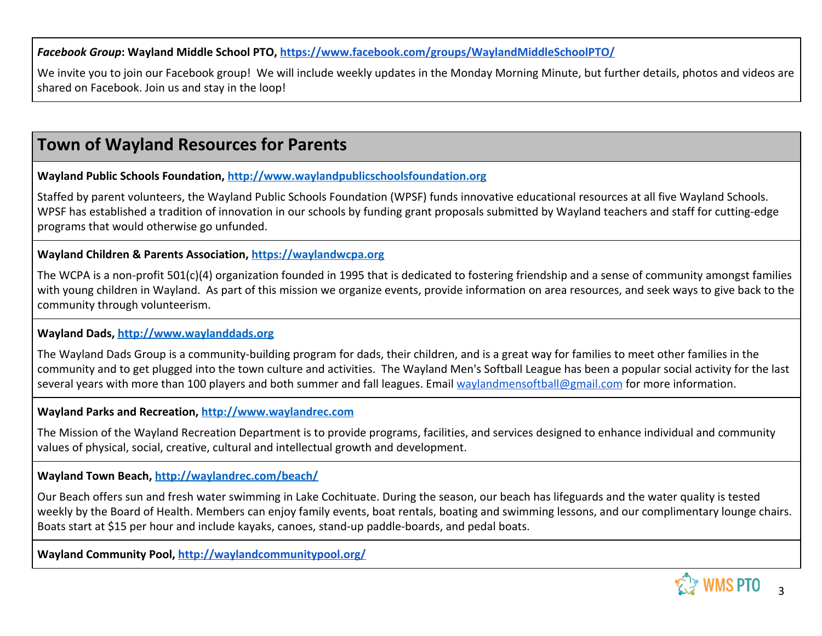*Facebook Group***: Wayland Middle School PTO, <https://www.facebook.com/groups/WaylandMiddleSchoolPTO/>**

We invite you to join our Facebook group! We will include weekly updates in the Monday Morning Minute, but further details, photos and videos are shared on Facebook. Join us and stay in the loop!

# **Town of Wayland Resources for Parents**

**Wayland Public Schools Foundation, [http://www.waylandpublicschoolsfoundation.org](http://www.waylandpublicschoolsfoundation.org/)**

Staffed by parent volunteers, the Wayland Public Schools Foundation (WPSF) funds innovative educational resources at all five Wayland Schools. WPSF has established a tradition of innovation in our schools by funding grant proposals submitted by Wayland teachers and staff for cutting-edge programs that would otherwise go unfunded.

**Wayland Children & Parents Association, [https://waylandwcpa.org](https://waylandwcpa.org/)**

The WCPA is a non-profit 501(c)(4) organization founded in 1995 that is dedicated to fostering friendship and a sense of community amongst families with young children in Wayland. As part of this mission we organize events, provide information on area resources, and seek ways to give back to the community through volunteerism.

**Wayland Dads, [http://www.waylanddads.org](http://www.waylanddads.org/)**

The Wayland Dads Group is a community-building program for dads, their children, and is a great way for families to meet other families in the community and to get plugged into the town culture and activities. The Wayland Men's Softball League has been a popular social activity for the last several years with more than 100 players and both summer and fall leagues. Email [waylandmensoftball@gmail.com](mailto:waylandmensoftball@gmail.com) for more information.

**Wayland Parks and Recreation, [http://www.waylandrec.com](http://www.waylandrec.com/)**

The Mission of the Wayland Recreation Department is to provide programs, facilities, and services designed to enhance individual and community values of physical, social, creative, cultural and intellectual growth and development.

**Wayland Town Beach, <http://waylandrec.com/beach/>**

Our Beach offers sun and fresh water swimming in Lake Cochituate. During the season, our beach has lifeguards and the water quality is tested weekly by the Board of Health. Members can enjoy family events, boat rentals, boating and swimming lessons, and our complimentary lounge chairs. Boats start at \$15 per hour and include kayaks, canoes, stand-up paddle-boards, and pedal boats.

**Wayland Community Pool, <http://waylandcommunitypool.org/>**

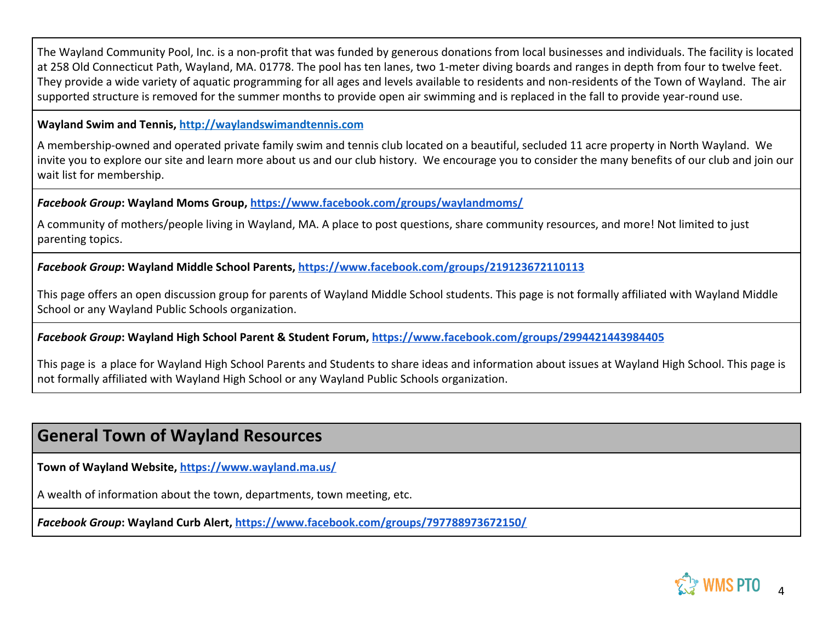The Wayland Community Pool, Inc. is a non-profit that was funded by generous donations from local businesses and individuals. The facility is located at 258 Old Connecticut Path, Wayland, MA. 01778. The pool has ten lanes, two 1-meter diving boards and ranges in depth from four to twelve feet. They provide a wide variety of aquatic programming for all ages and levels available to residents and non-residents of the Town of Wayland. The air supported structure is removed for the summer months to provide open air swimming and is replaced in the fall to provide year-round use.

#### **Wayland Swim and Tennis, [http://waylandswimandtennis.com](http://waylandswimandtennis.com/)**

A membership-owned and operated private family swim and tennis club located on a beautiful, secluded 11 acre property in North Wayland. We invite you to explore our site and learn more about us and our club history. We encourage you to consider the many benefits of our club and join our wait list for membership.

*Facebook Group***: Wayland Moms Group, <https://www.facebook.com/groups/waylandmoms/>**

A community of mothers/people living in Wayland, MA. A place to post questions, share community resources, and more! Not limited to just parenting topics.

*Facebook Group***: Wayland Middle School Parents,<https://www.facebook.com/groups/219123672110113>**

This page offers an open discussion group for parents of Wayland Middle School students. This page is not formally affiliated with Wayland Middle School or any Wayland Public Schools organization.

*Facebook Group***: Wayland High School Parent & Student Forum,<https://www.facebook.com/groups/2994421443984405>**

This page is a place for Wayland High School Parents and Students to share ideas and information about issues at Wayland High School. This page is not formally affiliated with Wayland High School or any Wayland Public Schools organization.

# **General Town of Wayland Resources**

**Town of Wayland Website,<https://www.wayland.ma.us/>**

A wealth of information about the town, departments, town meeting, etc.

*Facebook Group***: Wayland Curb Alert,<https://www.facebook.com/groups/797788973672150/>**